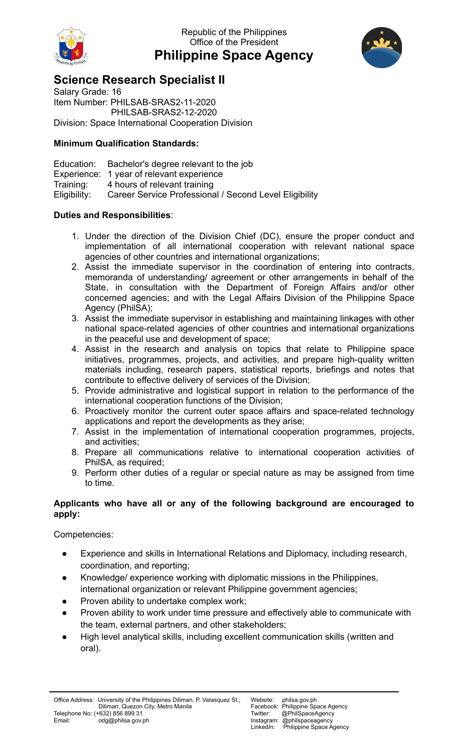

Republic of the Philippines Office of the President **Philippine Space Agency**



## **Science Research Specialist II**

Salary Grade: 16 Item Number: PHILSAB-SRAS2-11-2020 PHILSAB-SRAS2-12-2020 Division: Space International Cooperation Division

## **Minimum Qualification Standards:**

Education: Bachelor's degree relevant to the job Experience: 1 year of relevant experience Training: 4 hours of relevant training Eligibility: Career Service Professional / Second Level Eligibility

## **Duties and Responsibilities**:

- 1. Under the direction of the Division Chief (DC), ensure the proper conduct and implementation of all international cooperation with relevant national space agencies of other countries and international organizations;
- 2. Assist the immediate supervisor in the coordination of entering into contracts, memoranda of understanding/ agreement or other arrangements in behalf of the State, in consultation with the Department of Foreign Affairs and/or other concerned agencies; and with the Legal Affairs Division of the Philippine Space Agency (PhilSA);
- 3. Assist the immediate supervisor in establishing and maintaining linkages with other national space-related agencies of other countries and international organizations in the peaceful use and development of space;
- 4. Assist in the research and analysis on topics that relate to Philippine space initiatives, programmes, projects, and activities, and prepare high-quality written materials including, research papers, statistical reports, briefings and notes that contribute to effective delivery of services of the Division;
- 5. Provide administrative and logistical support in relation to the performance of the international cooperation functions of the Division;
- 6. Proactively monitor the current outer space affairs and space-related technology applications and report the developments as they arise;
- 7. Assist in the implementation of international cooperation programmes, projects, and activities;
- 8. Prepare all communications relative to international cooperation activities of PhilSA, as required;
- 9. Perform other duties of a regular or special nature as may be assigned from time to time.

## **Applicants who have all or any of the following background are encouraged to apply:**

Competencies:

- Experience and skills in International Relations and Diplomacy, including research, coordination, and reporting;
- Knowledge/ experience working with diplomatic missions in the Philippines, international organization or relevant Philippine government agencies;
- Proven ability to undertake complex work;
- Proven ability to work under time pressure and effectively able to communicate with the team, external partners, and other stakeholders;
- High level analytical skills, including excellent communication skills (written and oral).